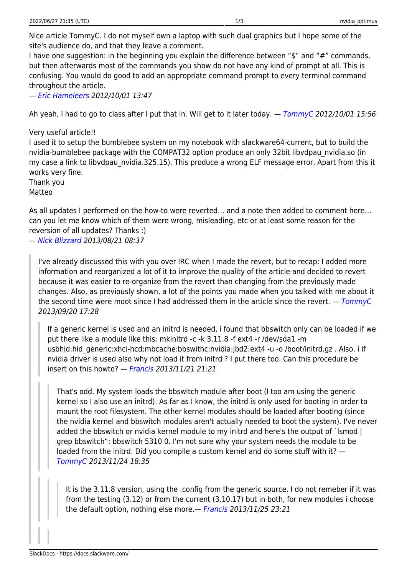Nice article TommyC. I do not myself own a laptop with such dual graphics but I hope some of the site's audience do, and that they leave a comment.

I have one suggestion: in the beginning you explain the difference between "\$" and "#" commands, but then afterwards most of the commands you show do not have any kind of prompt at all. This is confusing. You would do good to add an appropriate command prompt to every terminal command throughout the article.

— [Eric Hameleers](https://docs.slackware.com/wiki:user:alienbob) 2012/10/01 13:47

Ah yeah, I had to go to class after I put that in. Will get to it later today. — [TommyC](https://docs.slackware.com/wiki:user:tommyc) 2012/10/01 15:56

Very useful article!!

I used it to setup the bumblebee system on my notebook with slackware64-current, but to build the nvidia-bumblebee package with the COMPAT32 option produce an only 32bit libvdpau\_nvidia.so (in my case a link to libvdpau nvidia.325.15). This produce a wrong ELF message error. Apart from this it works very fine.

Thank you

Matteo

As all updates I performed on the how-to were reverted… and a note then added to comment here… can you let me know which of them were wrong, misleading, etc or at least some reason for the reversion of all updates? Thanks :)

— [Nick Blizzard](https://docs.slackware.com/wiki:user:whitewolf1776) 2013/08/21 08:37

I've already discussed this with you over IRC when I made the revert, but to recap: I added more information and reorganized a lot of it to improve the quality of the article and decided to revert because it was easier to re-organize from the revert than changing from the previously made changes. Also, as previously shown, a lot of the points you made when you talked with me about it the second time were moot since I had addressed them in the article since the revert.  $-$  [TommyC](https://docs.slackware.com/wiki:user:tommyc) 2013/09/20 17:28

If a generic kernel is used and an initrd is needed, i found that bbswitch only can be loaded if we put there like a module like this: mkinitrd -c -k 3.11.8 -f ext4 -r /dev/sda1 -m usbhid:hid\_generic:xhci-hcd:mbcache:bbswithc:nvidia:jbd2:ext4 -u -o /boot/initrd.gz . Also, i if nvidia driver is used also why not load it from initrd ? I put there too. Can this procedure be insert on this howto? — [Francis](https://docs.slackware.com/wiki:user:br_orion) 2013/11/21 21:21

That's odd. My system loads the bbswitch module after boot (I too am using the generic kernel so I also use an initrd). As far as I know, the initrd is only used for booting in order to mount the root filesystem. The other kernel modules should be loaded after booting (since the nvidia kernel and bbswitch modules aren't actually needed to boot the system). I've never added the bbswitch or nvidia kernel module to my initrd and here's the output of `lsmod | grep bbswitch": bbswitch 5310 0. I'm not sure why your system needs the module to be loaded from the initrd. Did you compile a custom kernel and do some stuff with it? — [TommyC](https://docs.slackware.com/wiki:user:tommyc) 2013/11/24 18:35

It is the 3.11.8 version, using the .config from the generic source. I do not remeber if it was from the testing (3.12) or from the current (3.10.17) but in both, for new modules i choose the default option, nothing else more.— [Francis](https://docs.slackware.com/wiki:user:br_orion) 2013/11/25 23:21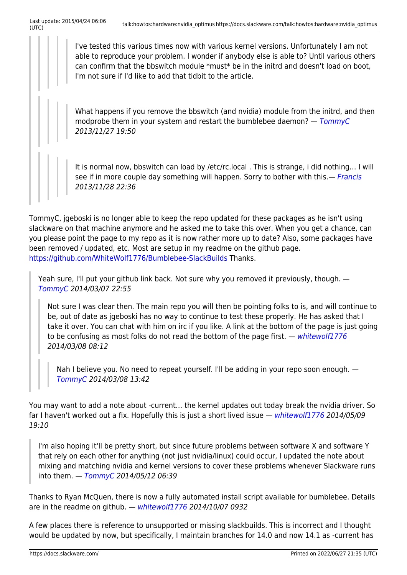I've tested this various times now with various kernel versions. Unfortunately I am not able to reproduce your problem. I wonder if anybody else is able to? Until various others can confirm that the bbswitch module \*must\* be in the initrd and doesn't load on boot, I'm not sure if I'd like to add that tidbit to the article.

What happens if you remove the bbswitch (and nvidia) module from the initrd, and then modprobe them in your system and restart the bumblebee daemon?  $-$  [TommyC](https://docs.slackware.com/wiki:user:tommyc) 2013/11/27 19:50

It is normal now, bbswitch can load by /etc/rc.local . This is strange, i did nothing… I will see if in more couple day something will happen. Sorry to bother with this.— [Francis](https://docs.slackware.com/wiki:user:br_orion) 2013/11/28 22:36

TommyC, jgeboski is no longer able to keep the repo updated for these packages as he isn't using slackware on that machine anymore and he asked me to take this over. When you get a chance, can you please point the page to my repo as it is now rather more up to date? Also, some packages have been removed / updated, etc. Most are setup in my readme on the github page. <https://github.com/WhiteWolf1776/Bumblebee-SlackBuilds>Thanks.

Yeah sure, I'll put your github link back. Not sure why you removed it previously, though. — [TommyC](https://docs.slackware.com/wiki:user:tommyc) 2014/03/07 22:55

Not sure I was clear then. The main repo you will then be pointing folks to is, and will continue to be, out of date as jgeboski has no way to continue to test these properly. He has asked that I take it over. You can chat with him on irc if you like. A link at the bottom of the page is just going to be confusing as most folks do not read the bottom of the page first.  $-$  [whitewolf1776](https://docs.slackware.com/wiki:user:whitewolf1776) 2014/03/08 08:12

Nah I believe you. No need to repeat yourself. I'll be adding in your repo soon enough.  $-$ [TommyC](https://docs.slackware.com/wiki:user:tommyc) 2014/03/08 13:42

You may want to add a note about -current… the kernel updates out today break the nvidia driver. So far I haven't worked out a fix. Hopefully this is just a short lived issue — [whitewolf1776](https://docs.slackware.com/wiki:user:whitewolf1776) 2014/05/09 19:10

I'm also hoping it'll be pretty short, but since future problems between software X and software Y that rely on each other for anything (not just nvidia/linux) could occur, I updated the note about mixing and matching nvidia and kernel versions to cover these problems whenever Slackware runs into them.  $-$  [TommyC](https://docs.slackware.com/wiki:user:tommyc) 2014/05/12 06:39

Thanks to Ryan McQuen, there is now a fully automated install script available for bumblebee. Details are in the readme on github. - [whitewolf1776](https://docs.slackware.com/wiki:user:whitewolf1776) 2014/10/07 0932

A few places there is reference to unsupported or missing slackbuilds. This is incorrect and I thought would be updated by now, but specifically, I maintain branches for 14.0 and now 14.1 as -current has